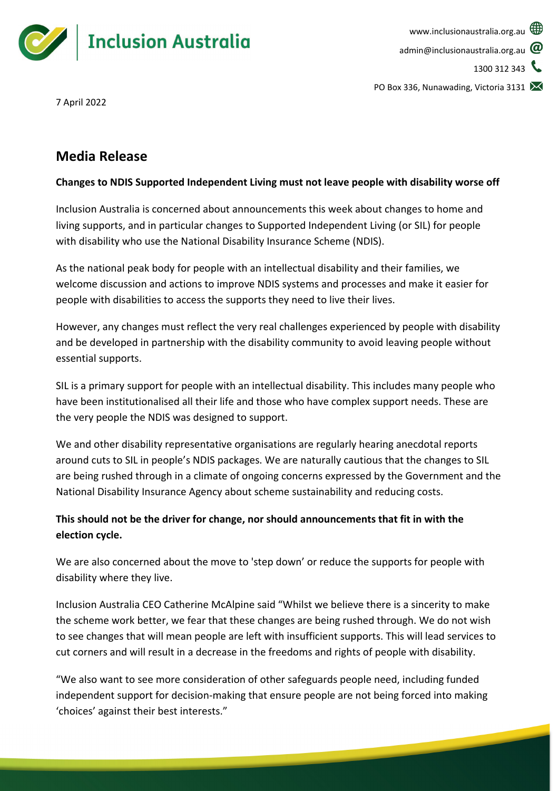

PO Box 336, Nunawading, Victoria 3131

7 April 2022

## **Media Release**

## **Changes to NDIS Supported Independent Living must not leave people with disability worse off**

Inclusion Australia is concerned about announcements this week about changes to home and living supports, and in particular changes to Supported Independent Living (or SIL) for people with disability who use the National Disability Insurance Scheme (NDIS).

As the national peak body for people with an intellectual disability and their families, we welcome discussion and actions to improve NDIS systems and processes and make it easier for people with disabilities to access the supports they need to live their lives.

However, any changes must reflect the very real challenges experienced by people with disability and be developed in partnership with the disability community to avoid leaving people without essential supports.

SIL is a primary support for people with an intellectual disability. This includes many people who have been institutionalised all their life and those who have complex support needs. These are the very people the NDIS was designed to support.

We and other disability representative organisations are regularly hearing anecdotal reports around cuts to SIL in people's NDIS packages. We are naturally cautious that the changes to SIL are being rushed through in a climate of ongoing concerns expressed by the Government and the National Disability Insurance Agency about scheme sustainability and reducing costs.

## **This should not be the driver for change, nor should announcements that fit in with the election cycle.**

We are also concerned about the move to 'step down' or reduce the supports for people with disability where they live.

Inclusion Australia CEO Catherine McAlpine said "Whilst we believe there is a sincerity to make the scheme work better, we fear that these changes are being rushed through. We do not wish to see changes that will mean people are left with insufficient supports. This will lead services to cut corners and will result in a decrease in the freedoms and rights of people with disability.

"We also want to see more consideration of other safeguards people need, including funded independent support for decision-making that ensure people are not being forced into making 'choices' against their best interests."